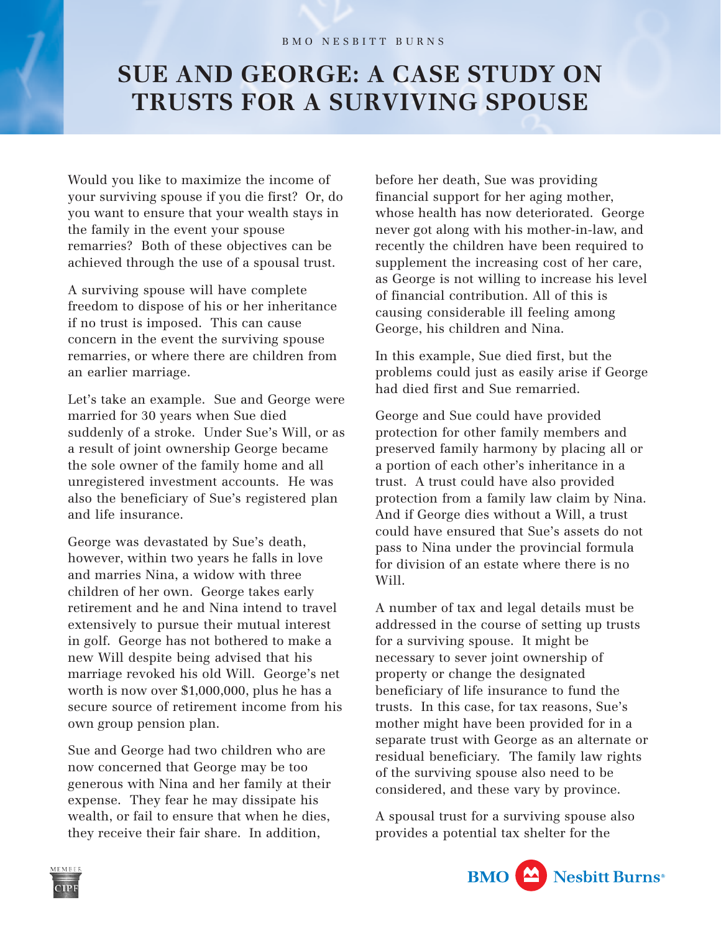## **SUE AND GEORGE: A CASE STUDY ON TRUSTS FOR A SURVIVING SPOUSE**

Would you like to maximize the income of your surviving spouse if you die first? Or, do you want to ensure that your wealth stays in the family in the event your spouse remarries? Both of these objectives can be achieved through the use of a spousal trust.

A surviving spouse will have complete freedom to dispose of his or her inheritance if no trust is imposed. This can cause concern in the event the surviving spouse remarries, or where there are children from an earlier marriage.

Let's take an example. Sue and George were married for 30 years when Sue died suddenly of a stroke. Under Sue's Will, or as a result of joint ownership George became the sole owner of the family home and all unregistered investment accounts. He was also the beneficiary of Sue's registered plan and life insurance.

George was devastated by Sue's death, however, within two years he falls in love and marries Nina, a widow with three children of her own. George takes early retirement and he and Nina intend to travel extensively to pursue their mutual interest in golf. George has not bothered to make a new Will despite being advised that his marriage revoked his old Will. George's net worth is now over \$1,000,000, plus he has a secure source of retirement income from his own group pension plan.

Sue and George had two children who are now concerned that George may be too generous with Nina and her family at their expense. They fear he may dissipate his wealth, or fail to ensure that when he dies, they receive their fair share. In addition,

before her death, Sue was providing financial support for her aging mother, whose health has now deteriorated. George never got along with his mother-in-law, and recently the children have been required to supplement the increasing cost of her care, as George is not willing to increase his level of financial contribution. All of this is causing considerable ill feeling among George, his children and Nina.

In this example, Sue died first, but the problems could just as easily arise if George had died first and Sue remarried.

George and Sue could have provided protection for other family members and preserved family harmony by placing all or a portion of each other's inheritance in a trust. A trust could have also provided protection from a family law claim by Nina. And if George dies without a Will, a trust could have ensured that Sue's assets do not pass to Nina under the provincial formula for division of an estate where there is no Will.

A number of tax and legal details must be addressed in the course of setting up trusts for a surviving spouse. It might be necessary to sever joint ownership of property or change the designated beneficiary of life insurance to fund the trusts. In this case, for tax reasons, Sue's mother might have been provided for in a separate trust with George as an alternate or residual beneficiary. The family law rights of the surviving spouse also need to be considered, and these vary by province.

A spousal trust for a surviving spouse also provides a potential tax shelter for the